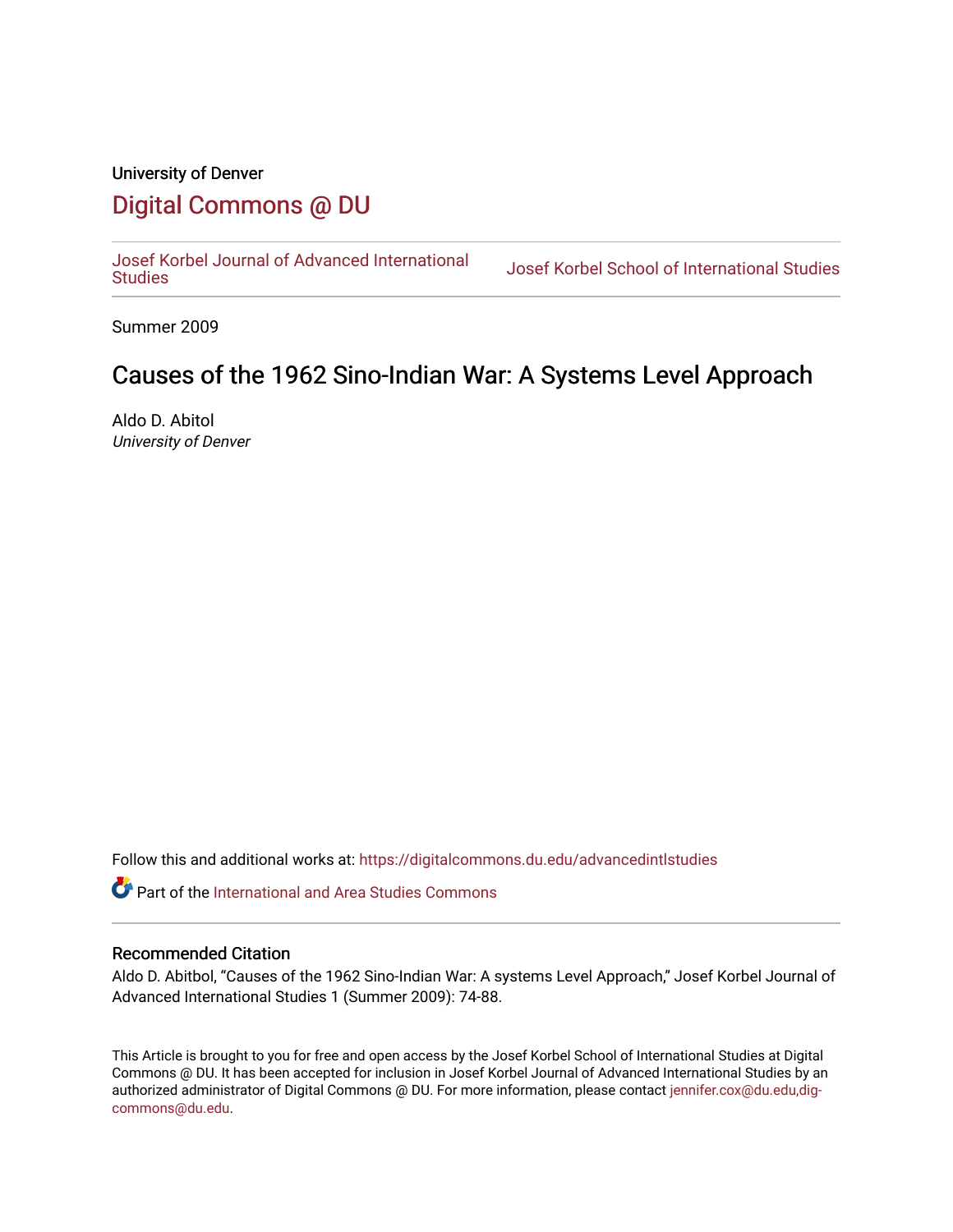## University of Denver [Digital Commons @ DU](https://digitalcommons.du.edu/)

[Josef Korbel Journal of Advanced International](https://digitalcommons.du.edu/advancedintlstudies) 

Josef Korbel School of International Studies

Summer 2009

# Causes of the 1962 Sino-Indian War: A Systems Level Approach

Aldo D. Abitol University of Denver

Follow this and additional works at: [https://digitalcommons.du.edu/advancedintlstudies](https://digitalcommons.du.edu/advancedintlstudies?utm_source=digitalcommons.du.edu%2Fadvancedintlstudies%2F23&utm_medium=PDF&utm_campaign=PDFCoverPages)

Part of the [International and Area Studies Commons](http://network.bepress.com/hgg/discipline/360?utm_source=digitalcommons.du.edu%2Fadvancedintlstudies%2F23&utm_medium=PDF&utm_campaign=PDFCoverPages) 

#### Recommended Citation

Aldo D. Abitbol, "Causes of the 1962 Sino-Indian War: A systems Level Approach," Josef Korbel Journal of Advanced International Studies 1 (Summer 2009): 74-88.

This Article is brought to you for free and open access by the Josef Korbel School of International Studies at Digital Commons @ DU. It has been accepted for inclusion in Josef Korbel Journal of Advanced International Studies by an authorized administrator of Digital Commons @ DU. For more information, please contact [jennifer.cox@du.edu,dig](mailto:jennifer.cox@du.edu,dig-commons@du.edu)[commons@du.edu.](mailto:jennifer.cox@du.edu,dig-commons@du.edu)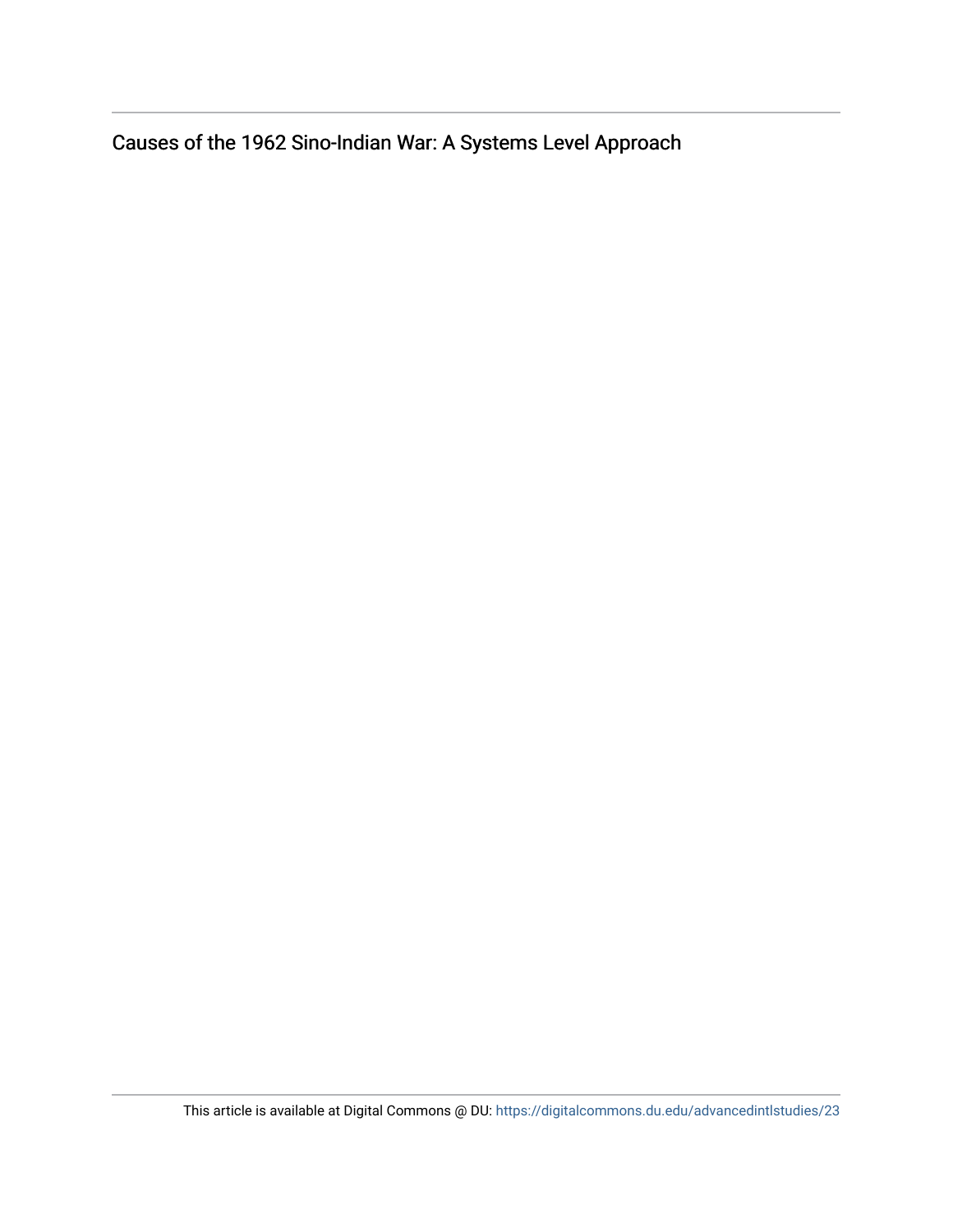Causes of the 1962 Sino-Indian War: A Systems Level Approach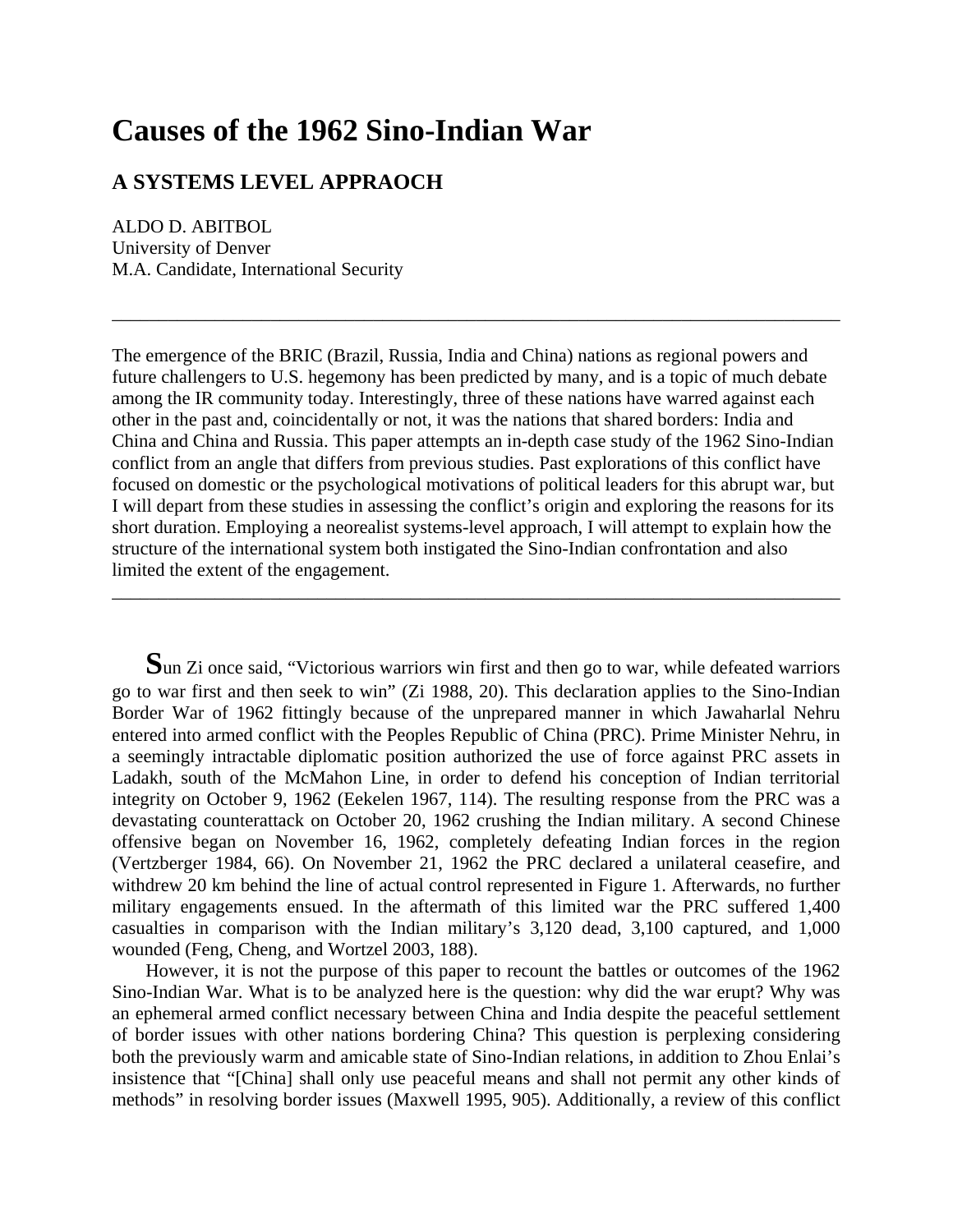# **Causes of the 1962 Sino-Indian War**

## **A SYSTEMS LEVEL APPRAOCH**

ALDO D. ABITBOL University of Denver M.A. Candidate, International Security

The emergence of the BRIC (Brazil, Russia, India and China) nations as regional powers and future challengers to U.S. hegemony has been predicted by many, and is a topic of much debate among the IR community today. Interestingly, three of these nations have warred against each other in the past and, coincidentally or not, it was the nations that shared borders: India and China and China and Russia. This paper attempts an in-depth case study of the 1962 Sino-Indian conflict from an angle that differs from previous studies. Past explorations of this conflict have focused on domestic or the psychological motivations of political leaders for this abrupt war, but I will depart from these studies in assessing the conflict's origin and exploring the reasons for its short duration. Employing a neorealist systems-level approach, I will attempt to explain how the structure of the international system both instigated the Sino-Indian confrontation and also limited the extent of the engagement.

\_\_\_\_\_\_\_\_\_\_\_\_\_\_\_\_\_\_\_\_\_\_\_\_\_\_\_\_\_\_\_\_\_\_\_\_\_\_\_\_\_\_\_\_\_\_\_\_\_\_\_\_\_\_\_\_\_\_\_\_\_\_\_\_\_\_\_\_\_\_\_\_\_\_\_\_\_\_

\_\_\_\_\_\_\_\_\_\_\_\_\_\_\_\_\_\_\_\_\_\_\_\_\_\_\_\_\_\_\_\_\_\_\_\_\_\_\_\_\_\_\_\_\_\_\_\_\_\_\_\_\_\_\_\_\_\_\_\_\_\_\_\_\_\_\_\_\_\_\_\_\_\_\_\_\_\_

Sun Zi once said, "Victorious warriors win first and then go to war, while defeated warriors go to war first and then seek to win" (Zi 1988, 20). This declaration applies to the Sino-Indian Border War of 1962 fittingly because of the unprepared manner in which Jawaharlal Nehru entered into armed conflict with the Peoples Republic of China (PRC). Prime Minister Nehru, in a seemingly intractable diplomatic position authorized the use of force against PRC assets in Ladakh, south of the McMahon Line, in order to defend his conception of Indian territorial integrity on October 9, 1962 (Eekelen 1967, 114). The resulting response from the PRC was a devastating counterattack on October 20, 1962 crushing the Indian military. A second Chinese offensive began on November 16, 1962, completely defeating Indian forces in the region (Vertzberger 1984, 66). On November 21, 1962 the PRC declared a unilateral ceasefire, and withdrew 20 km behind the line of actual control represented in Figure 1. Afterwards, no further military engagements ensued. In the aftermath of this limited war the PRC suffered 1,400 casualties in comparison with the Indian military's 3,120 dead, 3,100 captured, and 1,000 wounded (Feng, Cheng, and Wortzel 2003, 188).

However, it is not the purpose of this paper to recount the battles or outcomes of the 1962 Sino-Indian War. What is to be analyzed here is the question: why did the war erupt? Why was an ephemeral armed conflict necessary between China and India despite the peaceful settlement of border issues with other nations bordering China? This question is perplexing considering both the previously warm and amicable state of Sino-Indian relations, in addition to Zhou Enlai's insistence that "[China] shall only use peaceful means and shall not permit any other kinds of methods" in resolving border issues (Maxwell 1995, 905). Additionally, a review of this conflict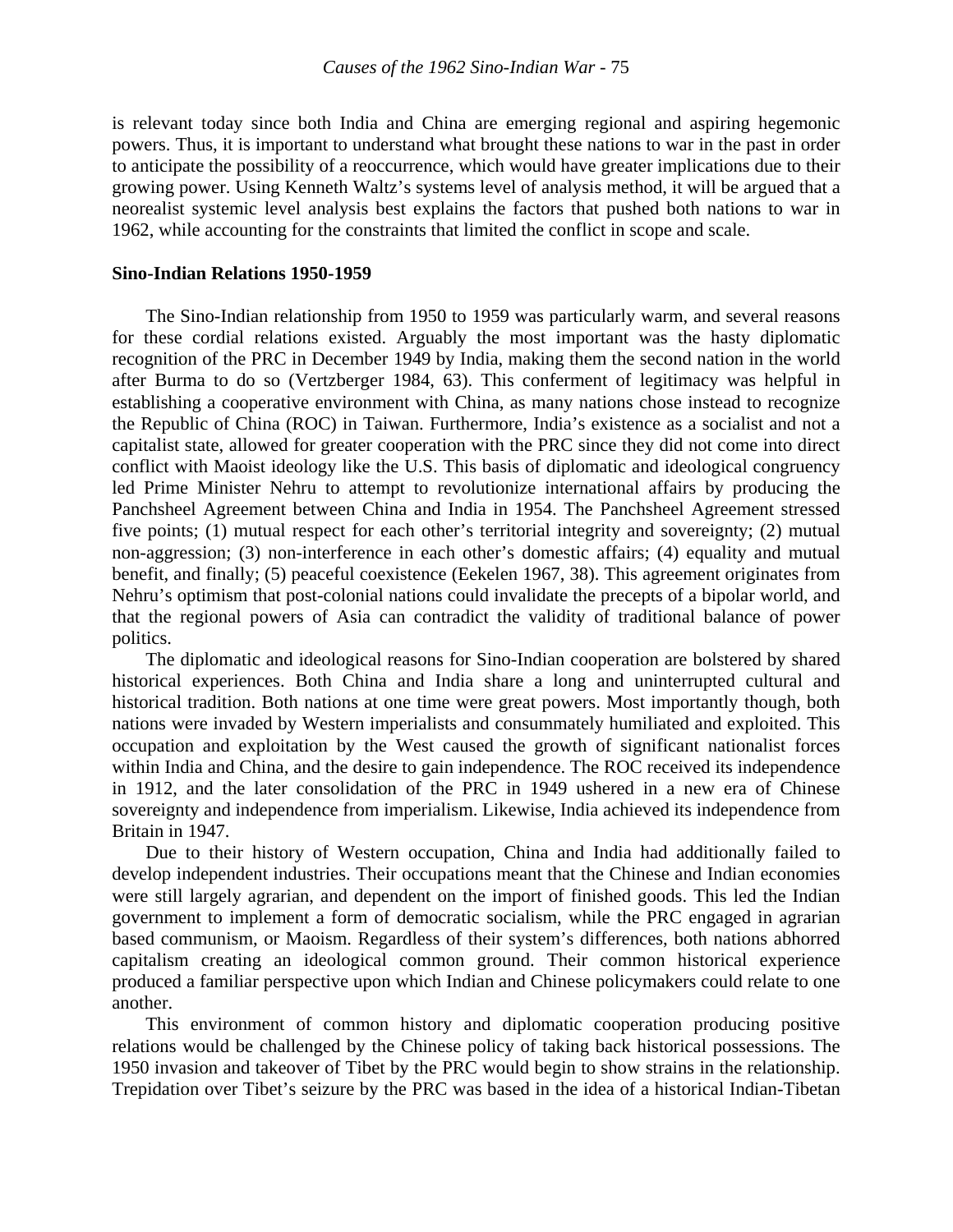is relevant today since both India and China are emerging regional and aspiring hegemonic powers. Thus, it is important to understand what brought these nations to war in the past in order to anticipate the possibility of a reoccurrence, which would have greater implications due to their growing power. Using Kenneth Waltz's systems level of analysis method, it will be argued that a neorealist systemic level analysis best explains the factors that pushed both nations to war in 1962, while accounting for the constraints that limited the conflict in scope and scale.

#### **Sino-Indian Relations 1950-1959**

The Sino-Indian relationship from 1950 to 1959 was particularly warm, and several reasons for these cordial relations existed. Arguably the most important was the hasty diplomatic recognition of the PRC in December 1949 by India, making them the second nation in the world after Burma to do so (Vertzberger 1984, 63). This conferment of legitimacy was helpful in establishing a cooperative environment with China, as many nations chose instead to recognize the Republic of China (ROC) in Taiwan. Furthermore, India's existence as a socialist and not a capitalist state, allowed for greater cooperation with the PRC since they did not come into direct conflict with Maoist ideology like the U.S. This basis of diplomatic and ideological congruency led Prime Minister Nehru to attempt to revolutionize international affairs by producing the Panchsheel Agreement between China and India in 1954. The Panchsheel Agreement stressed five points; (1) mutual respect for each other's territorial integrity and sovereignty; (2) mutual non-aggression; (3) non-interference in each other's domestic affairs; (4) equality and mutual benefit, and finally; (5) peaceful coexistence (Eekelen 1967, 38). This agreement originates from Nehru's optimism that post-colonial nations could invalidate the precepts of a bipolar world, and that the regional powers of Asia can contradict the validity of traditional balance of power politics.

The diplomatic and ideological reasons for Sino-Indian cooperation are bolstered by shared historical experiences. Both China and India share a long and uninterrupted cultural and historical tradition. Both nations at one time were great powers. Most importantly though, both nations were invaded by Western imperialists and consummately humiliated and exploited. This occupation and exploitation by the West caused the growth of significant nationalist forces within India and China, and the desire to gain independence. The ROC received its independence in 1912, and the later consolidation of the PRC in 1949 ushered in a new era of Chinese sovereignty and independence from imperialism. Likewise, India achieved its independence from Britain in 1947.

 Due to their history of Western occupation, China and India had additionally failed to develop independent industries. Their occupations meant that the Chinese and Indian economies were still largely agrarian, and dependent on the import of finished goods. This led the Indian government to implement a form of democratic socialism, while the PRC engaged in agrarian based communism, or Maoism. Regardless of their system's differences, both nations abhorred capitalism creating an ideological common ground. Their common historical experience produced a familiar perspective upon which Indian and Chinese policymakers could relate to one another.

 This environment of common history and diplomatic cooperation producing positive relations would be challenged by the Chinese policy of taking back historical possessions. The 1950 invasion and takeover of Tibet by the PRC would begin to show strains in the relationship. Trepidation over Tibet's seizure by the PRC was based in the idea of a historical Indian-Tibetan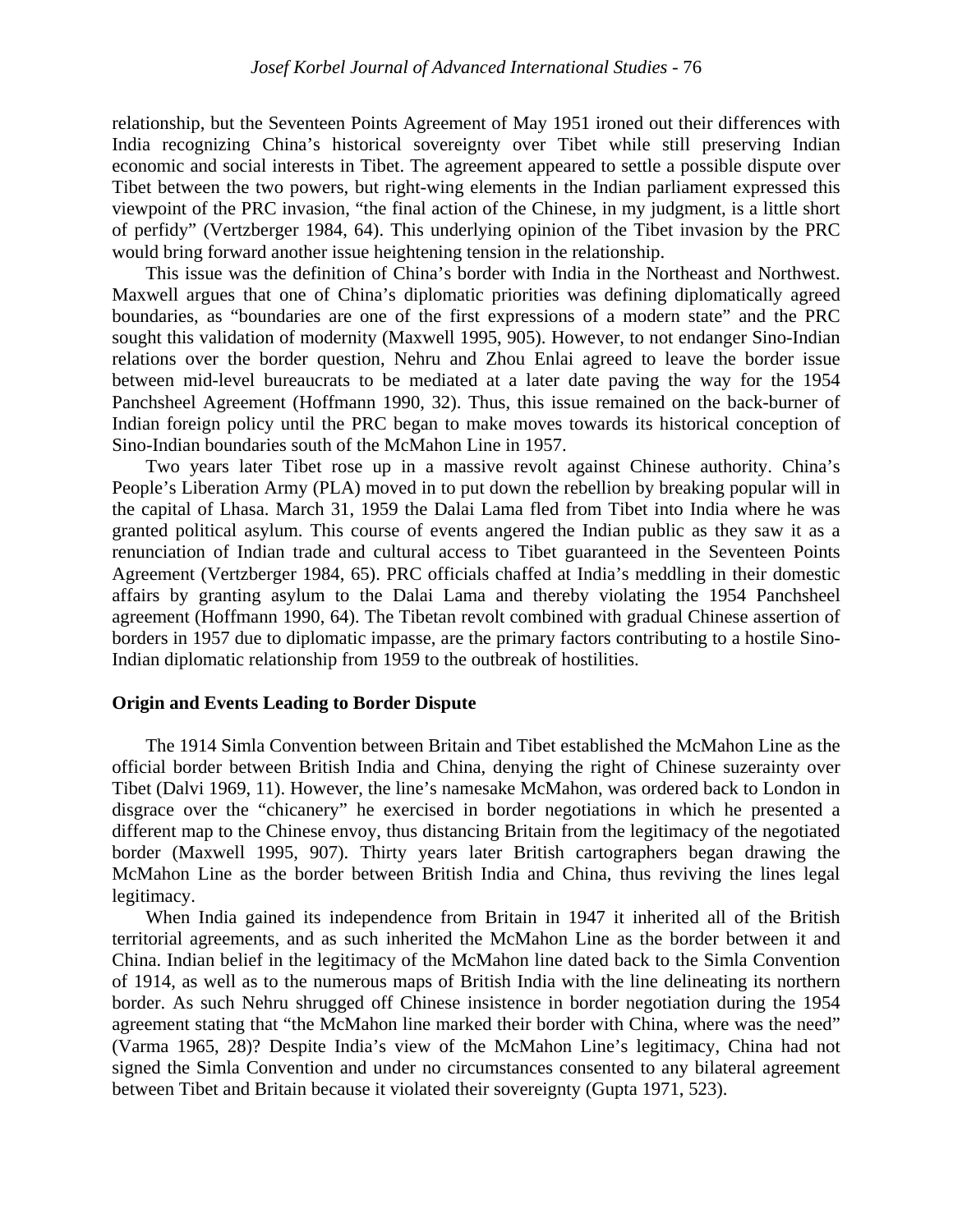relationship, but the Seventeen Points Agreement of May 1951 ironed out their differences with India recognizing China's historical sovereignty over Tibet while still preserving Indian economic and social interests in Tibet. The agreement appeared to settle a possible dispute over Tibet between the two powers, but right-wing elements in the Indian parliament expressed this viewpoint of the PRC invasion, "the final action of the Chinese, in my judgment, is a little short of perfidy" (Vertzberger 1984, 64). This underlying opinion of the Tibet invasion by the PRC would bring forward another issue heightening tension in the relationship.

 This issue was the definition of China's border with India in the Northeast and Northwest. Maxwell argues that one of China's diplomatic priorities was defining diplomatically agreed boundaries, as "boundaries are one of the first expressions of a modern state" and the PRC sought this validation of modernity (Maxwell 1995, 905). However, to not endanger Sino-Indian relations over the border question, Nehru and Zhou Enlai agreed to leave the border issue between mid-level bureaucrats to be mediated at a later date paving the way for the 1954 Panchsheel Agreement (Hoffmann 1990, 32). Thus, this issue remained on the back-burner of Indian foreign policy until the PRC began to make moves towards its historical conception of Sino-Indian boundaries south of the McMahon Line in 1957.

 Two years later Tibet rose up in a massive revolt against Chinese authority. China's People's Liberation Army (PLA) moved in to put down the rebellion by breaking popular will in the capital of Lhasa. March 31, 1959 the Dalai Lama fled from Tibet into India where he was granted political asylum. This course of events angered the Indian public as they saw it as a renunciation of Indian trade and cultural access to Tibet guaranteed in the Seventeen Points Agreement (Vertzberger 1984, 65). PRC officials chaffed at India's meddling in their domestic affairs by granting asylum to the Dalai Lama and thereby violating the 1954 Panchsheel agreement (Hoffmann 1990, 64). The Tibetan revolt combined with gradual Chinese assertion of borders in 1957 due to diplomatic impasse, are the primary factors contributing to a hostile Sino-Indian diplomatic relationship from 1959 to the outbreak of hostilities.

#### **Origin and Events Leading to Border Dispute**

 The 1914 Simla Convention between Britain and Tibet established the McMahon Line as the official border between British India and China, denying the right of Chinese suzerainty over Tibet (Dalvi 1969, 11). However, the line's namesake McMahon, was ordered back to London in disgrace over the "chicanery" he exercised in border negotiations in which he presented a different map to the Chinese envoy, thus distancing Britain from the legitimacy of the negotiated border (Maxwell 1995, 907). Thirty years later British cartographers began drawing the McMahon Line as the border between British India and China, thus reviving the lines legal legitimacy.

 When India gained its independence from Britain in 1947 it inherited all of the British territorial agreements, and as such inherited the McMahon Line as the border between it and China. Indian belief in the legitimacy of the McMahon line dated back to the Simla Convention of 1914, as well as to the numerous maps of British India with the line delineating its northern border. As such Nehru shrugged off Chinese insistence in border negotiation during the 1954 agreement stating that "the McMahon line marked their border with China, where was the need" (Varma 1965, 28)? Despite India's view of the McMahon Line's legitimacy, China had not signed the Simla Convention and under no circumstances consented to any bilateral agreement between Tibet and Britain because it violated their sovereignty (Gupta 1971, 523).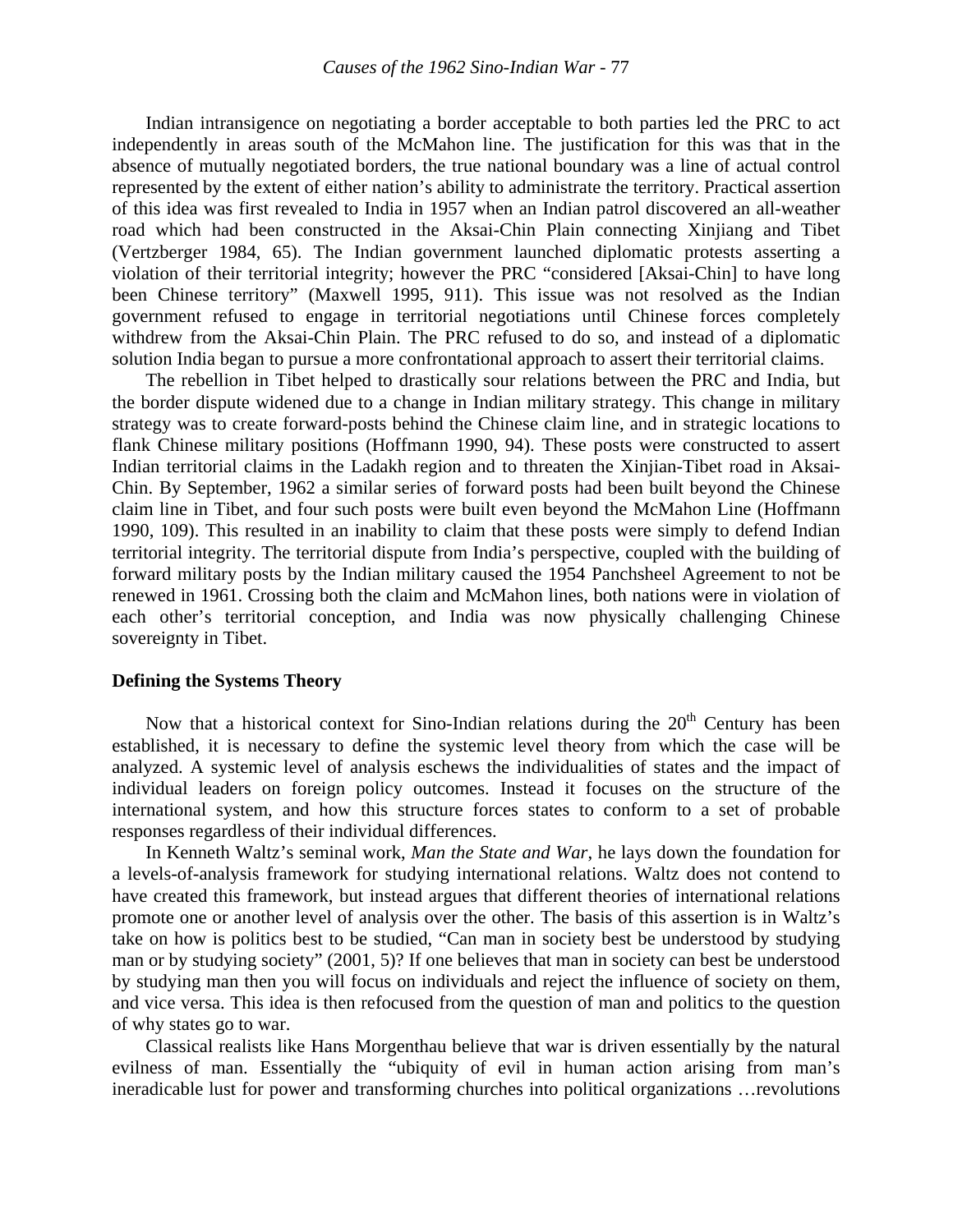Indian intransigence on negotiating a border acceptable to both parties led the PRC to act independently in areas south of the McMahon line. The justification for this was that in the absence of mutually negotiated borders, the true national boundary was a line of actual control represented by the extent of either nation's ability to administrate the territory. Practical assertion of this idea was first revealed to India in 1957 when an Indian patrol discovered an all-weather road which had been constructed in the Aksai-Chin Plain connecting Xinjiang and Tibet (Vertzberger 1984, 65). The Indian government launched diplomatic protests asserting a violation of their territorial integrity; however the PRC "considered [Aksai-Chin] to have long been Chinese territory" (Maxwell 1995, 911). This issue was not resolved as the Indian government refused to engage in territorial negotiations until Chinese forces completely withdrew from the Aksai-Chin Plain. The PRC refused to do so, and instead of a diplomatic solution India began to pursue a more confrontational approach to assert their territorial claims.

 The rebellion in Tibet helped to drastically sour relations between the PRC and India, but the border dispute widened due to a change in Indian military strategy. This change in military strategy was to create forward-posts behind the Chinese claim line, and in strategic locations to flank Chinese military positions (Hoffmann 1990, 94). These posts were constructed to assert Indian territorial claims in the Ladakh region and to threaten the Xinjian-Tibet road in Aksai-Chin. By September, 1962 a similar series of forward posts had been built beyond the Chinese claim line in Tibet, and four such posts were built even beyond the McMahon Line (Hoffmann 1990, 109). This resulted in an inability to claim that these posts were simply to defend Indian territorial integrity. The territorial dispute from India's perspective, coupled with the building of forward military posts by the Indian military caused the 1954 Panchsheel Agreement to not be renewed in 1961. Crossing both the claim and McMahon lines, both nations were in violation of each other's territorial conception, and India was now physically challenging Chinese sovereignty in Tibet.

#### **Defining the Systems Theory**

Now that a historical context for Sino-Indian relations during the  $20<sup>th</sup>$  Century has been established, it is necessary to define the systemic level theory from which the case will be analyzed. A systemic level of analysis eschews the individualities of states and the impact of individual leaders on foreign policy outcomes. Instead it focuses on the structure of the international system, and how this structure forces states to conform to a set of probable responses regardless of their individual differences.

 In Kenneth Waltz's seminal work, *Man the State and War*, he lays down the foundation for a levels-of-analysis framework for studying international relations. Waltz does not contend to have created this framework, but instead argues that different theories of international relations promote one or another level of analysis over the other. The basis of this assertion is in Waltz's take on how is politics best to be studied, "Can man in society best be understood by studying man or by studying society" (2001, 5)? If one believes that man in society can best be understood by studying man then you will focus on individuals and reject the influence of society on them, and vice versa. This idea is then refocused from the question of man and politics to the question of why states go to war.

Classical realists like Hans Morgenthau believe that war is driven essentially by the natural evilness of man. Essentially the "ubiquity of evil in human action arising from man's ineradicable lust for power and transforming churches into political organizations …revolutions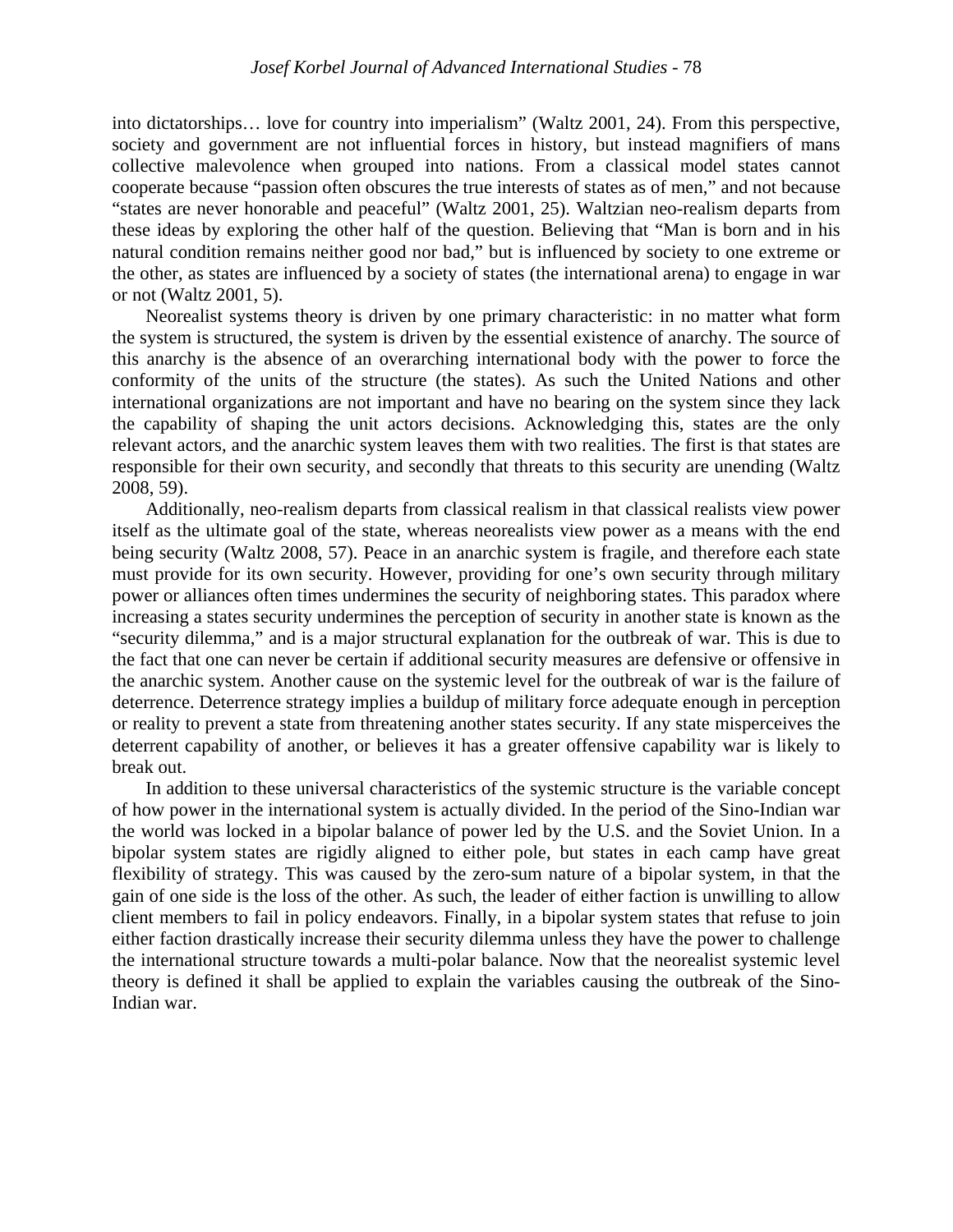into dictatorships… love for country into imperialism" (Waltz 2001, 24). From this perspective, society and government are not influential forces in history, but instead magnifiers of mans collective malevolence when grouped into nations. From a classical model states cannot cooperate because "passion often obscures the true interests of states as of men," and not because "states are never honorable and peaceful" (Waltz 2001, 25). Waltzian neo-realism departs from these ideas by exploring the other half of the question. Believing that "Man is born and in his natural condition remains neither good nor bad," but is influenced by society to one extreme or the other, as states are influenced by a society of states (the international arena) to engage in war or not (Waltz 2001, 5).

Neorealist systems theory is driven by one primary characteristic: in no matter what form the system is structured, the system is driven by the essential existence of anarchy. The source of this anarchy is the absence of an overarching international body with the power to force the conformity of the units of the structure (the states). As such the United Nations and other international organizations are not important and have no bearing on the system since they lack the capability of shaping the unit actors decisions. Acknowledging this, states are the only relevant actors, and the anarchic system leaves them with two realities. The first is that states are responsible for their own security, and secondly that threats to this security are unending (Waltz 2008, 59).

Additionally, neo-realism departs from classical realism in that classical realists view power itself as the ultimate goal of the state, whereas neorealists view power as a means with the end being security (Waltz 2008, 57). Peace in an anarchic system is fragile, and therefore each state must provide for its own security. However, providing for one's own security through military power or alliances often times undermines the security of neighboring states. This paradox where increasing a states security undermines the perception of security in another state is known as the "security dilemma," and is a major structural explanation for the outbreak of war. This is due to the fact that one can never be certain if additional security measures are defensive or offensive in the anarchic system. Another cause on the systemic level for the outbreak of war is the failure of deterrence. Deterrence strategy implies a buildup of military force adequate enough in perception or reality to prevent a state from threatening another states security. If any state misperceives the deterrent capability of another, or believes it has a greater offensive capability war is likely to break out.

 In addition to these universal characteristics of the systemic structure is the variable concept of how power in the international system is actually divided. In the period of the Sino-Indian war the world was locked in a bipolar balance of power led by the U.S. and the Soviet Union. In a bipolar system states are rigidly aligned to either pole, but states in each camp have great flexibility of strategy. This was caused by the zero-sum nature of a bipolar system, in that the gain of one side is the loss of the other. As such, the leader of either faction is unwilling to allow client members to fail in policy endeavors. Finally, in a bipolar system states that refuse to join either faction drastically increase their security dilemma unless they have the power to challenge the international structure towards a multi-polar balance. Now that the neorealist systemic level theory is defined it shall be applied to explain the variables causing the outbreak of the Sino-Indian war.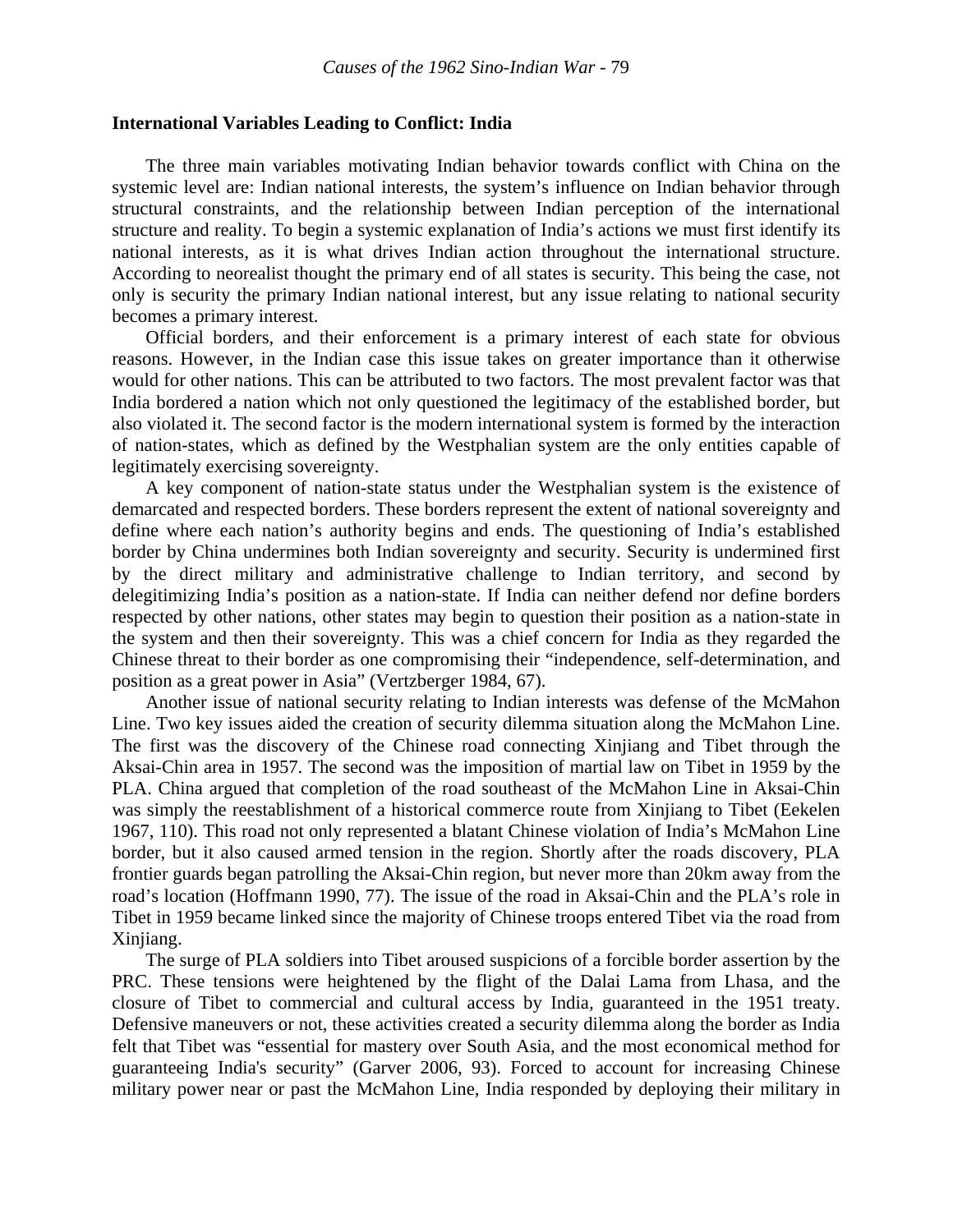#### **International Variables Leading to Conflict: India**

 The three main variables motivating Indian behavior towards conflict with China on the systemic level are: Indian national interests, the system's influence on Indian behavior through structural constraints, and the relationship between Indian perception of the international structure and reality. To begin a systemic explanation of India's actions we must first identify its national interests, as it is what drives Indian action throughout the international structure. According to neorealist thought the primary end of all states is security. This being the case, not only is security the primary Indian national interest, but any issue relating to national security becomes a primary interest.

Official borders, and their enforcement is a primary interest of each state for obvious reasons. However, in the Indian case this issue takes on greater importance than it otherwise would for other nations. This can be attributed to two factors. The most prevalent factor was that India bordered a nation which not only questioned the legitimacy of the established border, but also violated it. The second factor is the modern international system is formed by the interaction of nation-states, which as defined by the Westphalian system are the only entities capable of legitimately exercising sovereignty.

 A key component of nation-state status under the Westphalian system is the existence of demarcated and respected borders. These borders represent the extent of national sovereignty and define where each nation's authority begins and ends. The questioning of India's established border by China undermines both Indian sovereignty and security. Security is undermined first by the direct military and administrative challenge to Indian territory, and second by delegitimizing India's position as a nation-state. If India can neither defend nor define borders respected by other nations, other states may begin to question their position as a nation-state in the system and then their sovereignty. This was a chief concern for India as they regarded the Chinese threat to their border as one compromising their "independence, self-determination, and position as a great power in Asia" (Vertzberger 1984, 67).

 Another issue of national security relating to Indian interests was defense of the McMahon Line. Two key issues aided the creation of security dilemma situation along the McMahon Line. The first was the discovery of the Chinese road connecting Xinjiang and Tibet through the Aksai-Chin area in 1957. The second was the imposition of martial law on Tibet in 1959 by the PLA. China argued that completion of the road southeast of the McMahon Line in Aksai-Chin was simply the reestablishment of a historical commerce route from Xinjiang to Tibet (Eekelen 1967, 110). This road not only represented a blatant Chinese violation of India's McMahon Line border, but it also caused armed tension in the region. Shortly after the roads discovery, PLA frontier guards began patrolling the Aksai-Chin region, but never more than 20km away from the road's location (Hoffmann 1990, 77). The issue of the road in Aksai-Chin and the PLA's role in Tibet in 1959 became linked since the majority of Chinese troops entered Tibet via the road from Xinjiang.

 The surge of PLA soldiers into Tibet aroused suspicions of a forcible border assertion by the PRC. These tensions were heightened by the flight of the Dalai Lama from Lhasa, and the closure of Tibet to commercial and cultural access by India, guaranteed in the 1951 treaty. Defensive maneuvers or not, these activities created a security dilemma along the border as India felt that Tibet was "essential for mastery over South Asia, and the most economical method for guaranteeing India's security" (Garver 2006, 93). Forced to account for increasing Chinese military power near or past the McMahon Line, India responded by deploying their military in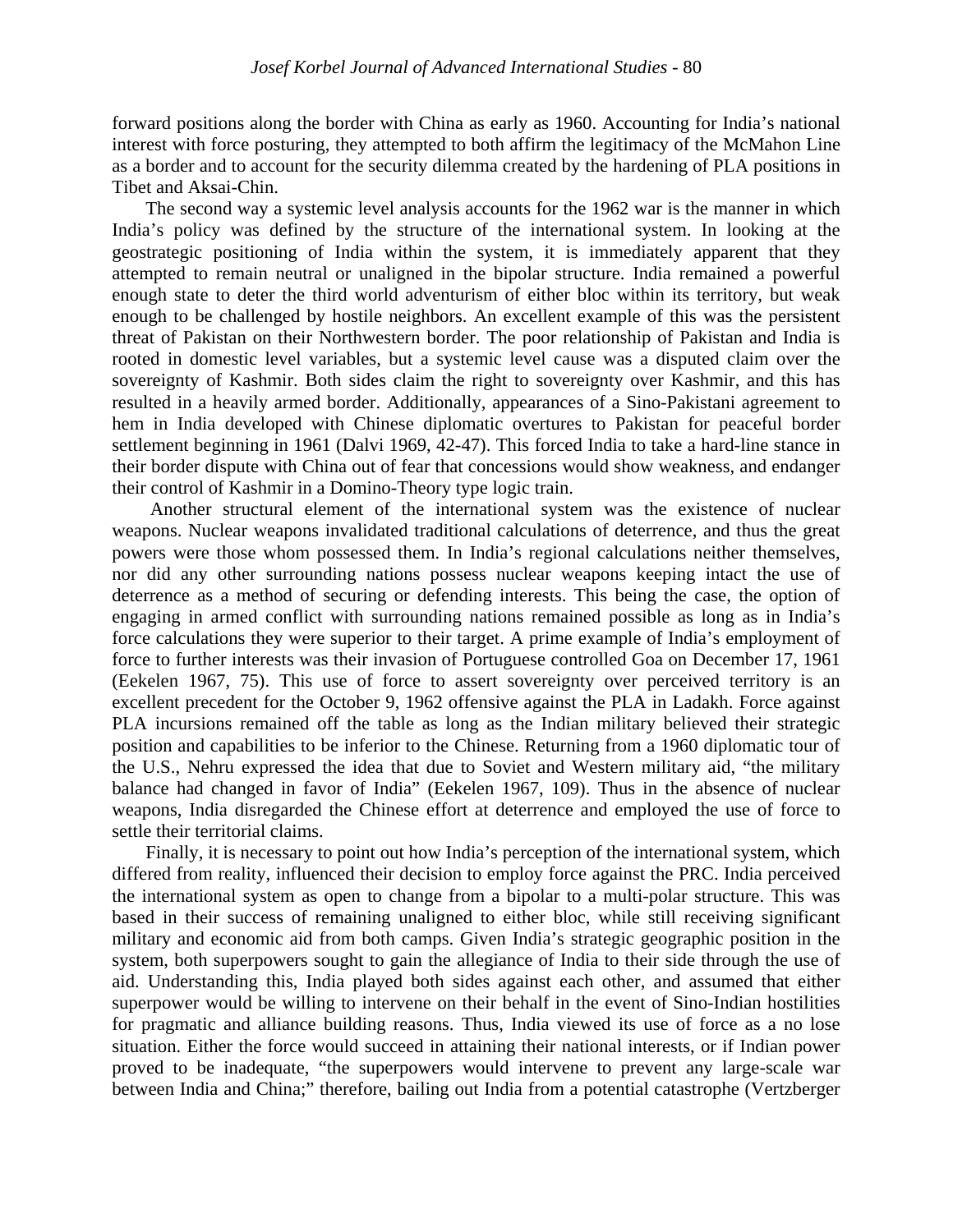forward positions along the border with China as early as 1960. Accounting for India's national interest with force posturing, they attempted to both affirm the legitimacy of the McMahon Line as a border and to account for the security dilemma created by the hardening of PLA positions in Tibet and Aksai-Chin.

 The second way a systemic level analysis accounts for the 1962 war is the manner in which India's policy was defined by the structure of the international system. In looking at the geostrategic positioning of India within the system, it is immediately apparent that they attempted to remain neutral or unaligned in the bipolar structure. India remained a powerful enough state to deter the third world adventurism of either bloc within its territory, but weak enough to be challenged by hostile neighbors. An excellent example of this was the persistent threat of Pakistan on their Northwestern border. The poor relationship of Pakistan and India is rooted in domestic level variables, but a systemic level cause was a disputed claim over the sovereignty of Kashmir. Both sides claim the right to sovereignty over Kashmir, and this has resulted in a heavily armed border. Additionally, appearances of a Sino-Pakistani agreement to hem in India developed with Chinese diplomatic overtures to Pakistan for peaceful border settlement beginning in 1961 (Dalvi 1969, 42-47). This forced India to take a hard-line stance in their border dispute with China out of fear that concessions would show weakness, and endanger their control of Kashmir in a Domino-Theory type logic train.

 Another structural element of the international system was the existence of nuclear weapons. Nuclear weapons invalidated traditional calculations of deterrence, and thus the great powers were those whom possessed them. In India's regional calculations neither themselves, nor did any other surrounding nations possess nuclear weapons keeping intact the use of deterrence as a method of securing or defending interests. This being the case, the option of engaging in armed conflict with surrounding nations remained possible as long as in India's force calculations they were superior to their target. A prime example of India's employment of force to further interests was their invasion of Portuguese controlled Goa on December 17, 1961 (Eekelen 1967, 75). This use of force to assert sovereignty over perceived territory is an excellent precedent for the October 9, 1962 offensive against the PLA in Ladakh. Force against PLA incursions remained off the table as long as the Indian military believed their strategic position and capabilities to be inferior to the Chinese. Returning from a 1960 diplomatic tour of the U.S., Nehru expressed the idea that due to Soviet and Western military aid, "the military balance had changed in favor of India" (Eekelen 1967, 109). Thus in the absence of nuclear weapons, India disregarded the Chinese effort at deterrence and employed the use of force to settle their territorial claims.

 Finally, it is necessary to point out how India's perception of the international system, which differed from reality, influenced their decision to employ force against the PRC. India perceived the international system as open to change from a bipolar to a multi-polar structure. This was based in their success of remaining unaligned to either bloc, while still receiving significant military and economic aid from both camps. Given India's strategic geographic position in the system, both superpowers sought to gain the allegiance of India to their side through the use of aid. Understanding this, India played both sides against each other, and assumed that either superpower would be willing to intervene on their behalf in the event of Sino-Indian hostilities for pragmatic and alliance building reasons. Thus, India viewed its use of force as a no lose situation. Either the force would succeed in attaining their national interests, or if Indian power proved to be inadequate, "the superpowers would intervene to prevent any large-scale war between India and China;" therefore, bailing out India from a potential catastrophe (Vertzberger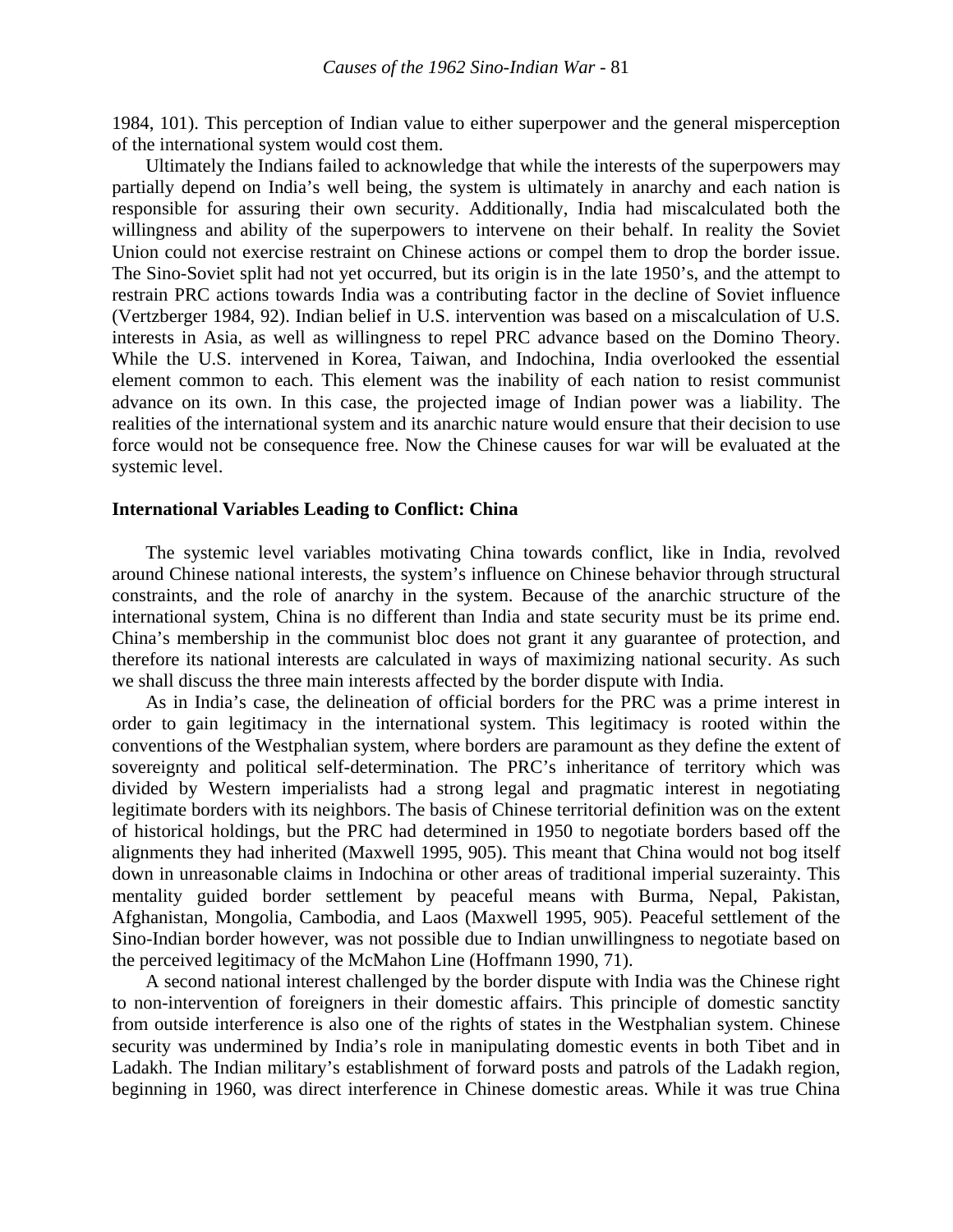1984, 101). This perception of Indian value to either superpower and the general misperception of the international system would cost them.

 Ultimately the Indians failed to acknowledge that while the interests of the superpowers may partially depend on India's well being, the system is ultimately in anarchy and each nation is responsible for assuring their own security. Additionally, India had miscalculated both the willingness and ability of the superpowers to intervene on their behalf. In reality the Soviet Union could not exercise restraint on Chinese actions or compel them to drop the border issue. The Sino-Soviet split had not yet occurred, but its origin is in the late 1950's, and the attempt to restrain PRC actions towards India was a contributing factor in the decline of Soviet influence (Vertzberger 1984, 92). Indian belief in U.S. intervention was based on a miscalculation of U.S. interests in Asia, as well as willingness to repel PRC advance based on the Domino Theory. While the U.S. intervened in Korea, Taiwan, and Indochina, India overlooked the essential element common to each. This element was the inability of each nation to resist communist advance on its own. In this case, the projected image of Indian power was a liability. The realities of the international system and its anarchic nature would ensure that their decision to use force would not be consequence free. Now the Chinese causes for war will be evaluated at the systemic level.

#### **International Variables Leading to Conflict: China**

 The systemic level variables motivating China towards conflict, like in India, revolved around Chinese national interests, the system's influence on Chinese behavior through structural constraints, and the role of anarchy in the system. Because of the anarchic structure of the international system, China is no different than India and state security must be its prime end. China's membership in the communist bloc does not grant it any guarantee of protection, and therefore its national interests are calculated in ways of maximizing national security. As such we shall discuss the three main interests affected by the border dispute with India.

 As in India's case, the delineation of official borders for the PRC was a prime interest in order to gain legitimacy in the international system. This legitimacy is rooted within the conventions of the Westphalian system, where borders are paramount as they define the extent of sovereignty and political self-determination. The PRC's inheritance of territory which was divided by Western imperialists had a strong legal and pragmatic interest in negotiating legitimate borders with its neighbors. The basis of Chinese territorial definition was on the extent of historical holdings, but the PRC had determined in 1950 to negotiate borders based off the alignments they had inherited (Maxwell 1995, 905). This meant that China would not bog itself down in unreasonable claims in Indochina or other areas of traditional imperial suzerainty. This mentality guided border settlement by peaceful means with Burma, Nepal, Pakistan, Afghanistan, Mongolia, Cambodia, and Laos (Maxwell 1995, 905). Peaceful settlement of the Sino-Indian border however, was not possible due to Indian unwillingness to negotiate based on the perceived legitimacy of the McMahon Line (Hoffmann 1990, 71).

 A second national interest challenged by the border dispute with India was the Chinese right to non-intervention of foreigners in their domestic affairs. This principle of domestic sanctity from outside interference is also one of the rights of states in the Westphalian system. Chinese security was undermined by India's role in manipulating domestic events in both Tibet and in Ladakh. The Indian military's establishment of forward posts and patrols of the Ladakh region, beginning in 1960, was direct interference in Chinese domestic areas. While it was true China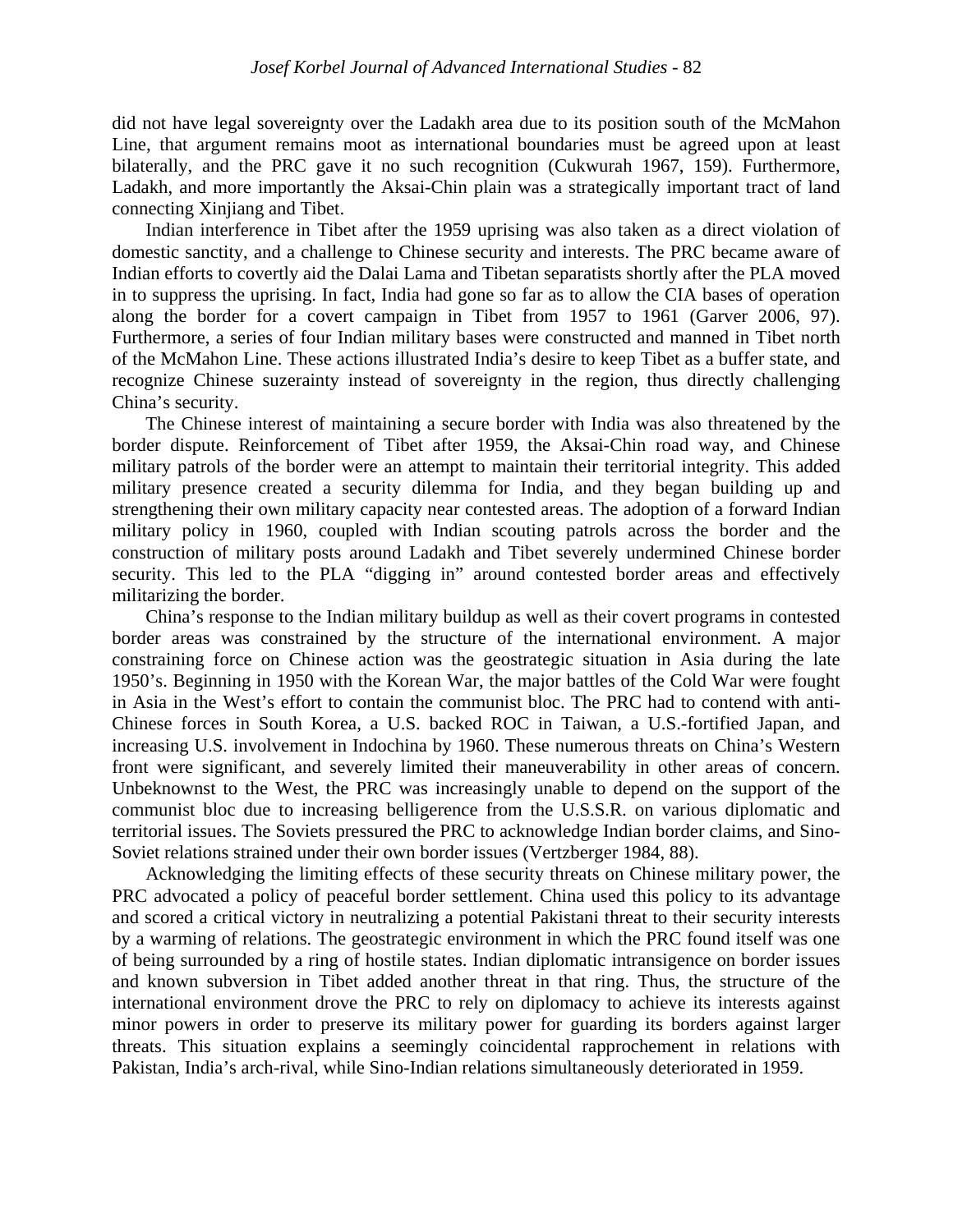did not have legal sovereignty over the Ladakh area due to its position south of the McMahon Line, that argument remains moot as international boundaries must be agreed upon at least bilaterally, and the PRC gave it no such recognition (Cukwurah 1967, 159). Furthermore, Ladakh, and more importantly the Aksai-Chin plain was a strategically important tract of land connecting Xinjiang and Tibet.

 Indian interference in Tibet after the 1959 uprising was also taken as a direct violation of domestic sanctity, and a challenge to Chinese security and interests. The PRC became aware of Indian efforts to covertly aid the Dalai Lama and Tibetan separatists shortly after the PLA moved in to suppress the uprising. In fact, India had gone so far as to allow the CIA bases of operation along the border for a covert campaign in Tibet from 1957 to 1961 (Garver 2006, 97). Furthermore, a series of four Indian military bases were constructed and manned in Tibet north of the McMahon Line. These actions illustrated India's desire to keep Tibet as a buffer state, and recognize Chinese suzerainty instead of sovereignty in the region, thus directly challenging China's security.

 The Chinese interest of maintaining a secure border with India was also threatened by the border dispute. Reinforcement of Tibet after 1959, the Aksai-Chin road way, and Chinese military patrols of the border were an attempt to maintain their territorial integrity. This added military presence created a security dilemma for India, and they began building up and strengthening their own military capacity near contested areas. The adoption of a forward Indian military policy in 1960, coupled with Indian scouting patrols across the border and the construction of military posts around Ladakh and Tibet severely undermined Chinese border security. This led to the PLA "digging in" around contested border areas and effectively militarizing the border.

 China's response to the Indian military buildup as well as their covert programs in contested border areas was constrained by the structure of the international environment. A major constraining force on Chinese action was the geostrategic situation in Asia during the late 1950's. Beginning in 1950 with the Korean War, the major battles of the Cold War were fought in Asia in the West's effort to contain the communist bloc. The PRC had to contend with anti-Chinese forces in South Korea, a U.S. backed ROC in Taiwan, a U.S.-fortified Japan, and increasing U.S. involvement in Indochina by 1960. These numerous threats on China's Western front were significant, and severely limited their maneuverability in other areas of concern. Unbeknownst to the West, the PRC was increasingly unable to depend on the support of the communist bloc due to increasing belligerence from the U.S.S.R. on various diplomatic and territorial issues. The Soviets pressured the PRC to acknowledge Indian border claims, and Sino-Soviet relations strained under their own border issues (Vertzberger 1984, 88).

 Acknowledging the limiting effects of these security threats on Chinese military power, the PRC advocated a policy of peaceful border settlement. China used this policy to its advantage and scored a critical victory in neutralizing a potential Pakistani threat to their security interests by a warming of relations. The geostrategic environment in which the PRC found itself was one of being surrounded by a ring of hostile states. Indian diplomatic intransigence on border issues and known subversion in Tibet added another threat in that ring. Thus, the structure of the international environment drove the PRC to rely on diplomacy to achieve its interests against minor powers in order to preserve its military power for guarding its borders against larger threats. This situation explains a seemingly coincidental rapprochement in relations with Pakistan, India's arch-rival, while Sino-Indian relations simultaneously deteriorated in 1959.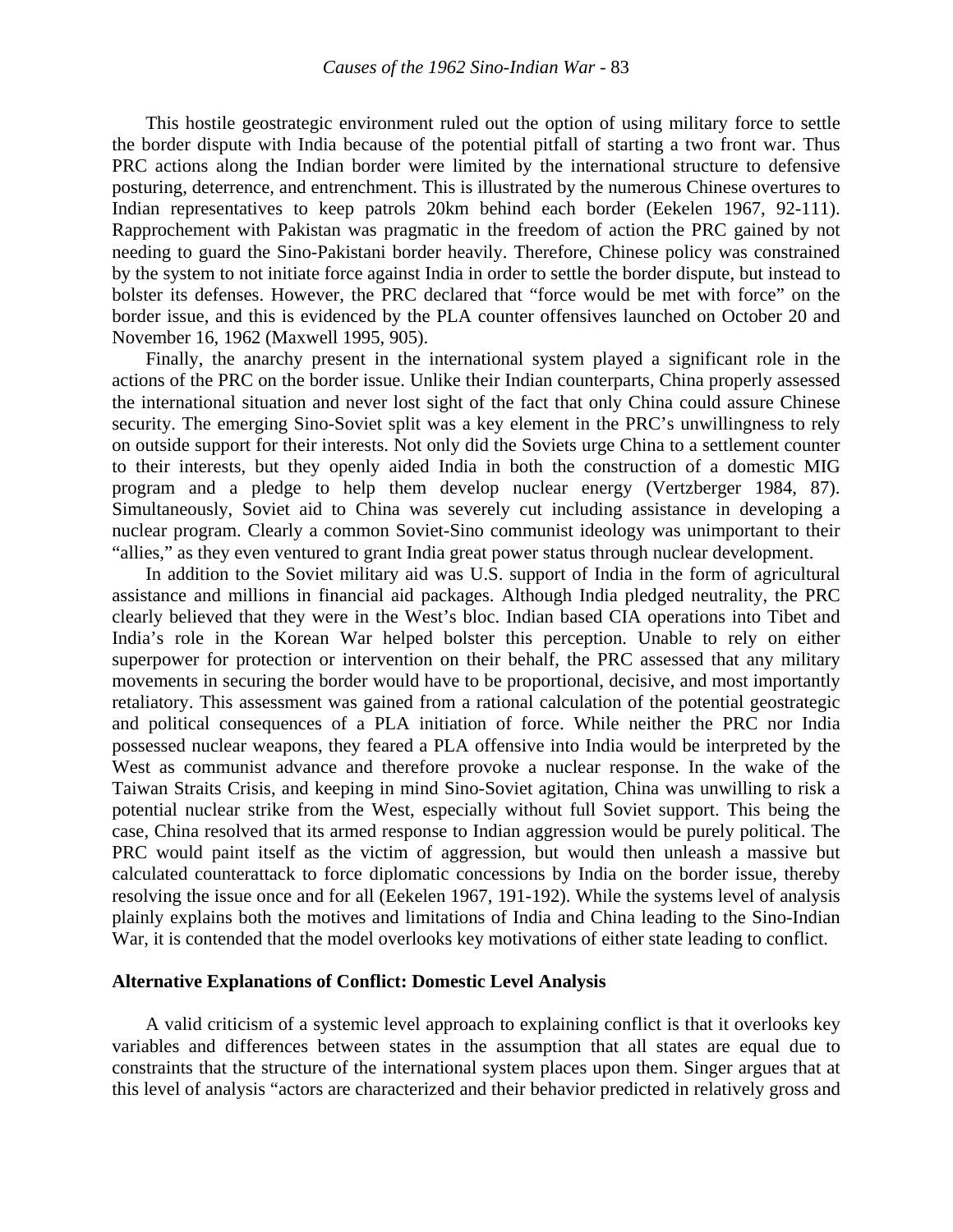This hostile geostrategic environment ruled out the option of using military force to settle the border dispute with India because of the potential pitfall of starting a two front war. Thus PRC actions along the Indian border were limited by the international structure to defensive posturing, deterrence, and entrenchment. This is illustrated by the numerous Chinese overtures to Indian representatives to keep patrols 20km behind each border (Eekelen 1967, 92-111). Rapprochement with Pakistan was pragmatic in the freedom of action the PRC gained by not needing to guard the Sino-Pakistani border heavily. Therefore, Chinese policy was constrained by the system to not initiate force against India in order to settle the border dispute, but instead to bolster its defenses. However, the PRC declared that "force would be met with force" on the border issue, and this is evidenced by the PLA counter offensives launched on October 20 and November 16, 1962 (Maxwell 1995, 905).

 Finally, the anarchy present in the international system played a significant role in the actions of the PRC on the border issue. Unlike their Indian counterparts, China properly assessed the international situation and never lost sight of the fact that only China could assure Chinese security. The emerging Sino-Soviet split was a key element in the PRC's unwillingness to rely on outside support for their interests. Not only did the Soviets urge China to a settlement counter to their interests, but they openly aided India in both the construction of a domestic MIG program and a pledge to help them develop nuclear energy (Vertzberger 1984, 87). Simultaneously, Soviet aid to China was severely cut including assistance in developing a nuclear program. Clearly a common Soviet-Sino communist ideology was unimportant to their "allies," as they even ventured to grant India great power status through nuclear development.

 In addition to the Soviet military aid was U.S. support of India in the form of agricultural assistance and millions in financial aid packages. Although India pledged neutrality, the PRC clearly believed that they were in the West's bloc. Indian based CIA operations into Tibet and India's role in the Korean War helped bolster this perception. Unable to rely on either superpower for protection or intervention on their behalf, the PRC assessed that any military movements in securing the border would have to be proportional, decisive, and most importantly retaliatory. This assessment was gained from a rational calculation of the potential geostrategic and political consequences of a PLA initiation of force. While neither the PRC nor India possessed nuclear weapons, they feared a PLA offensive into India would be interpreted by the West as communist advance and therefore provoke a nuclear response. In the wake of the Taiwan Straits Crisis, and keeping in mind Sino-Soviet agitation, China was unwilling to risk a potential nuclear strike from the West, especially without full Soviet support. This being the case, China resolved that its armed response to Indian aggression would be purely political. The PRC would paint itself as the victim of aggression, but would then unleash a massive but calculated counterattack to force diplomatic concessions by India on the border issue, thereby resolving the issue once and for all (Eekelen 1967, 191-192). While the systems level of analysis plainly explains both the motives and limitations of India and China leading to the Sino-Indian War, it is contended that the model overlooks key motivations of either state leading to conflict.

#### **Alternative Explanations of Conflict: Domestic Level Analysis**

A valid criticism of a systemic level approach to explaining conflict is that it overlooks key variables and differences between states in the assumption that all states are equal due to constraints that the structure of the international system places upon them. Singer argues that at this level of analysis "actors are characterized and their behavior predicted in relatively gross and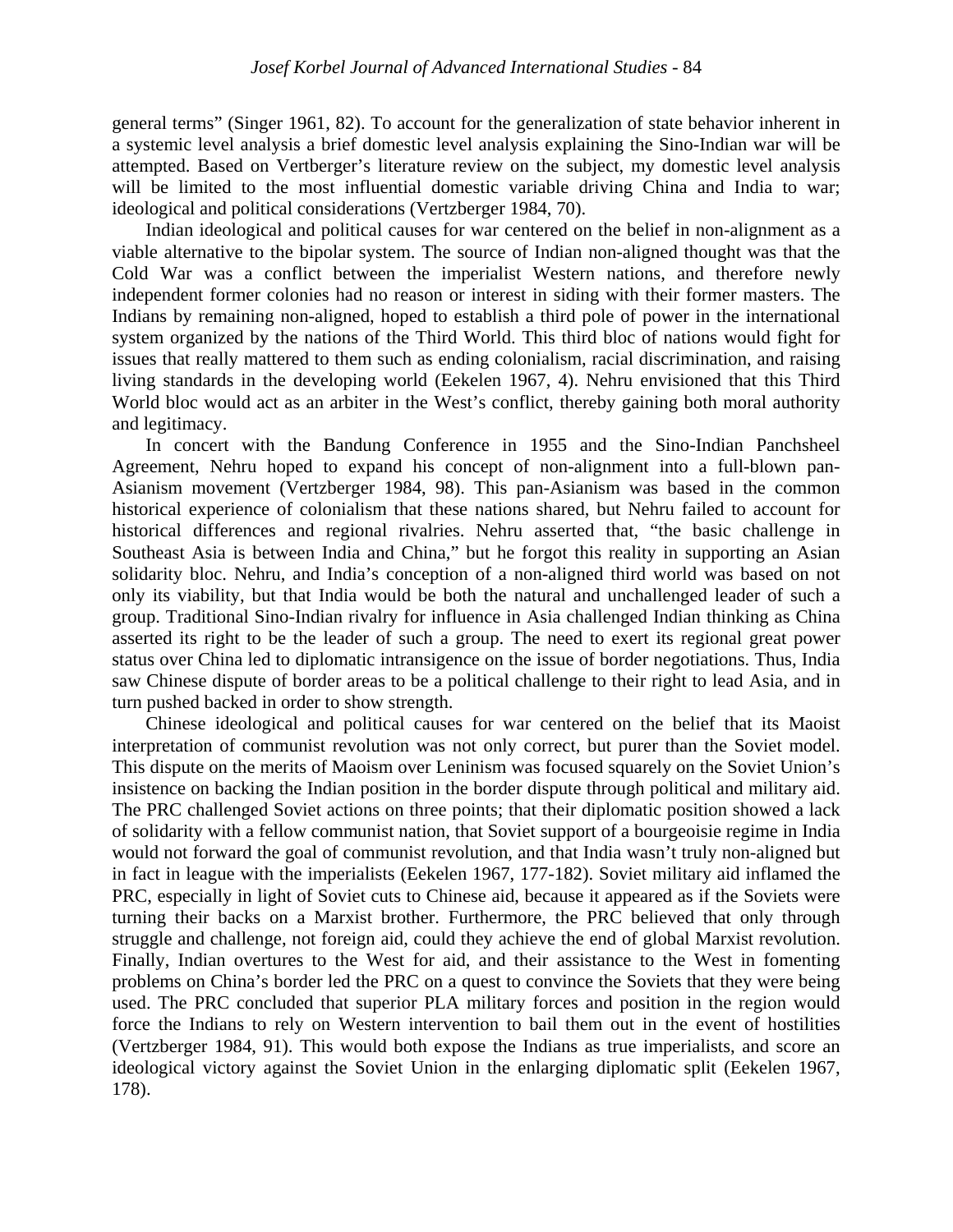general terms" (Singer 1961, 82). To account for the generalization of state behavior inherent in a systemic level analysis a brief domestic level analysis explaining the Sino-Indian war will be attempted. Based on Vertberger's literature review on the subject, my domestic level analysis will be limited to the most influential domestic variable driving China and India to war; ideological and political considerations (Vertzberger 1984, 70).

 Indian ideological and political causes for war centered on the belief in non-alignment as a viable alternative to the bipolar system. The source of Indian non-aligned thought was that the Cold War was a conflict between the imperialist Western nations, and therefore newly independent former colonies had no reason or interest in siding with their former masters. The Indians by remaining non-aligned, hoped to establish a third pole of power in the international system organized by the nations of the Third World. This third bloc of nations would fight for issues that really mattered to them such as ending colonialism, racial discrimination, and raising living standards in the developing world (Eekelen 1967, 4). Nehru envisioned that this Third World bloc would act as an arbiter in the West's conflict, thereby gaining both moral authority and legitimacy.

In concert with the Bandung Conference in 1955 and the Sino-Indian Panchsheel Agreement, Nehru hoped to expand his concept of non-alignment into a full-blown pan-Asianism movement (Vertzberger 1984, 98). This pan-Asianism was based in the common historical experience of colonialism that these nations shared, but Nehru failed to account for historical differences and regional rivalries. Nehru asserted that, "the basic challenge in Southeast Asia is between India and China," but he forgot this reality in supporting an Asian solidarity bloc. Nehru, and India's conception of a non-aligned third world was based on not only its viability, but that India would be both the natural and unchallenged leader of such a group. Traditional Sino-Indian rivalry for influence in Asia challenged Indian thinking as China asserted its right to be the leader of such a group. The need to exert its regional great power status over China led to diplomatic intransigence on the issue of border negotiations. Thus, India saw Chinese dispute of border areas to be a political challenge to their right to lead Asia, and in turn pushed backed in order to show strength.

Chinese ideological and political causes for war centered on the belief that its Maoist interpretation of communist revolution was not only correct, but purer than the Soviet model. This dispute on the merits of Maoism over Leninism was focused squarely on the Soviet Union's insistence on backing the Indian position in the border dispute through political and military aid. The PRC challenged Soviet actions on three points; that their diplomatic position showed a lack of solidarity with a fellow communist nation, that Soviet support of a bourgeoisie regime in India would not forward the goal of communist revolution, and that India wasn't truly non-aligned but in fact in league with the imperialists (Eekelen 1967, 177-182). Soviet military aid inflamed the PRC, especially in light of Soviet cuts to Chinese aid, because it appeared as if the Soviets were turning their backs on a Marxist brother. Furthermore, the PRC believed that only through struggle and challenge, not foreign aid, could they achieve the end of global Marxist revolution. Finally, Indian overtures to the West for aid, and their assistance to the West in fomenting problems on China's border led the PRC on a quest to convince the Soviets that they were being used. The PRC concluded that superior PLA military forces and position in the region would force the Indians to rely on Western intervention to bail them out in the event of hostilities (Vertzberger 1984, 91). This would both expose the Indians as true imperialists, and score an ideological victory against the Soviet Union in the enlarging diplomatic split (Eekelen 1967, 178).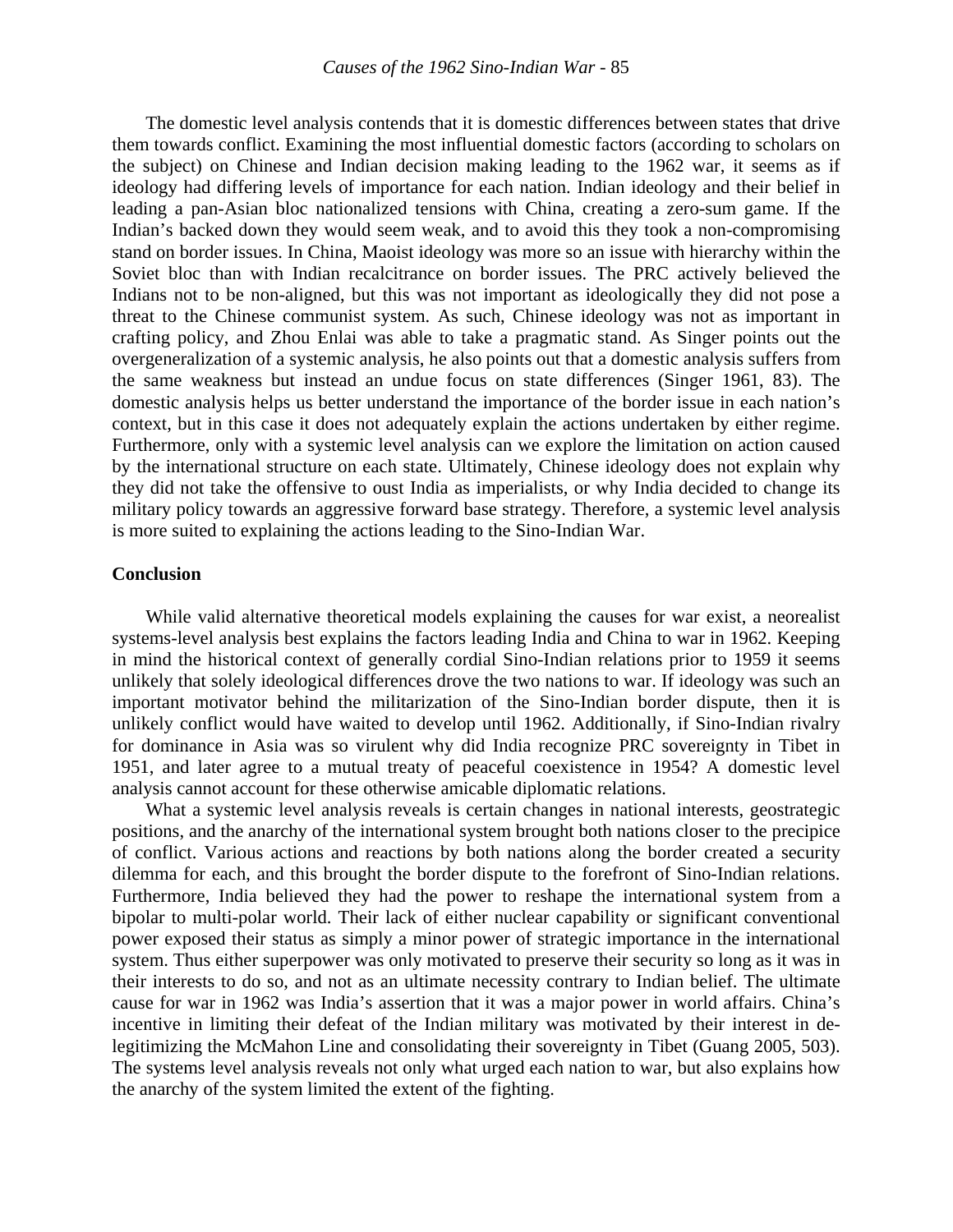The domestic level analysis contends that it is domestic differences between states that drive them towards conflict. Examining the most influential domestic factors (according to scholars on the subject) on Chinese and Indian decision making leading to the 1962 war, it seems as if ideology had differing levels of importance for each nation. Indian ideology and their belief in leading a pan-Asian bloc nationalized tensions with China, creating a zero-sum game. If the Indian's backed down they would seem weak, and to avoid this they took a non-compromising stand on border issues. In China, Maoist ideology was more so an issue with hierarchy within the Soviet bloc than with Indian recalcitrance on border issues. The PRC actively believed the Indians not to be non-aligned, but this was not important as ideologically they did not pose a threat to the Chinese communist system. As such, Chinese ideology was not as important in crafting policy, and Zhou Enlai was able to take a pragmatic stand. As Singer points out the overgeneralization of a systemic analysis, he also points out that a domestic analysis suffers from the same weakness but instead an undue focus on state differences (Singer 1961, 83). The domestic analysis helps us better understand the importance of the border issue in each nation's context, but in this case it does not adequately explain the actions undertaken by either regime. Furthermore, only with a systemic level analysis can we explore the limitation on action caused by the international structure on each state. Ultimately, Chinese ideology does not explain why they did not take the offensive to oust India as imperialists, or why India decided to change its military policy towards an aggressive forward base strategy. Therefore, a systemic level analysis is more suited to explaining the actions leading to the Sino-Indian War.

#### **Conclusion**

While valid alternative theoretical models explaining the causes for war exist, a neorealist systems-level analysis best explains the factors leading India and China to war in 1962. Keeping in mind the historical context of generally cordial Sino-Indian relations prior to 1959 it seems unlikely that solely ideological differences drove the two nations to war. If ideology was such an important motivator behind the militarization of the Sino-Indian border dispute, then it is unlikely conflict would have waited to develop until 1962. Additionally, if Sino-Indian rivalry for dominance in Asia was so virulent why did India recognize PRC sovereignty in Tibet in 1951, and later agree to a mutual treaty of peaceful coexistence in 1954? A domestic level analysis cannot account for these otherwise amicable diplomatic relations.

 What a systemic level analysis reveals is certain changes in national interests, geostrategic positions, and the anarchy of the international system brought both nations closer to the precipice of conflict. Various actions and reactions by both nations along the border created a security dilemma for each, and this brought the border dispute to the forefront of Sino-Indian relations. Furthermore, India believed they had the power to reshape the international system from a bipolar to multi-polar world. Their lack of either nuclear capability or significant conventional power exposed their status as simply a minor power of strategic importance in the international system. Thus either superpower was only motivated to preserve their security so long as it was in their interests to do so, and not as an ultimate necessity contrary to Indian belief. The ultimate cause for war in 1962 was India's assertion that it was a major power in world affairs. China's incentive in limiting their defeat of the Indian military was motivated by their interest in delegitimizing the McMahon Line and consolidating their sovereignty in Tibet (Guang 2005, 503). The systems level analysis reveals not only what urged each nation to war, but also explains how the anarchy of the system limited the extent of the fighting.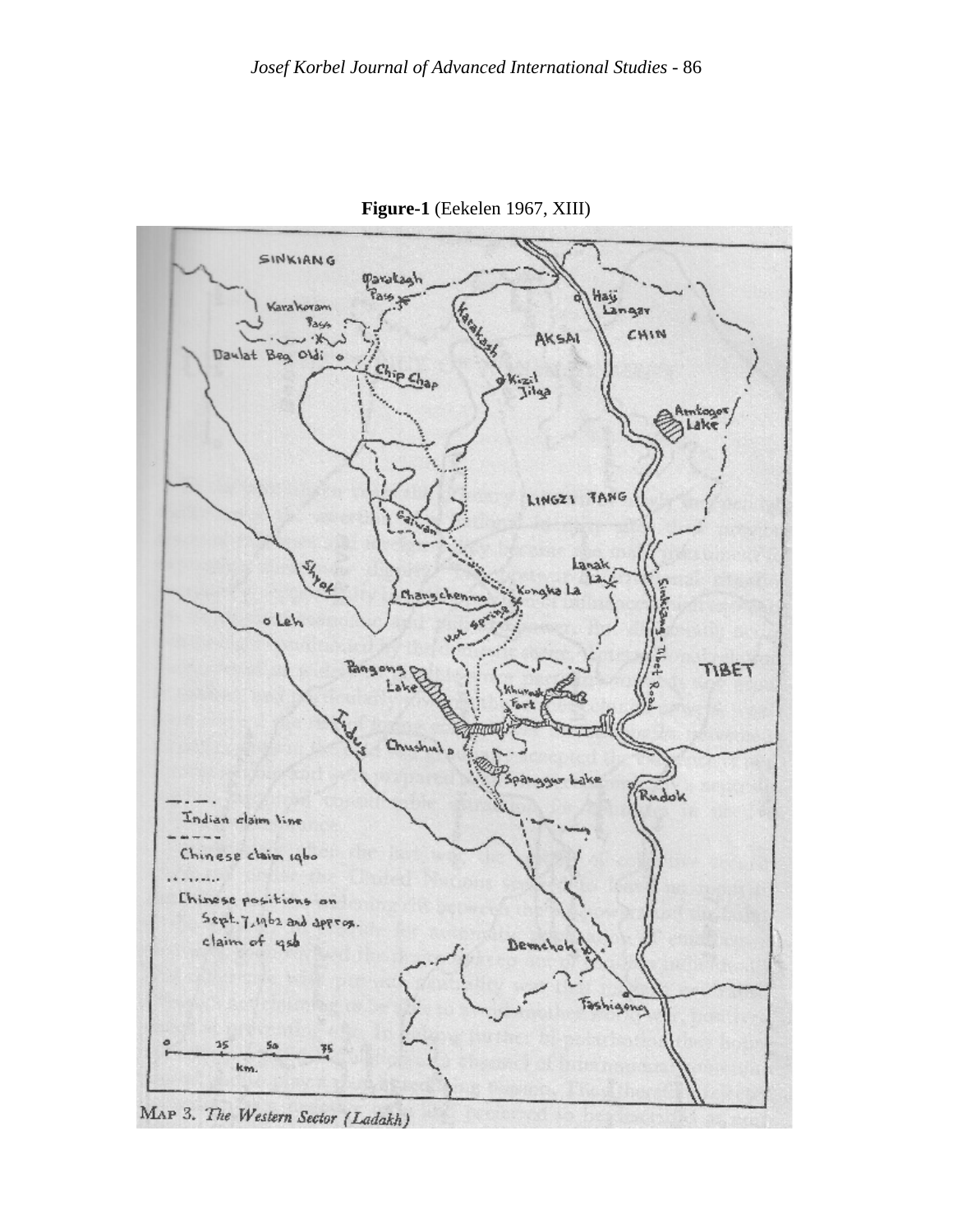

**Figure-1** (Eekelen 1967, XIII)

MAP 3. The Western Sector (Ladakh)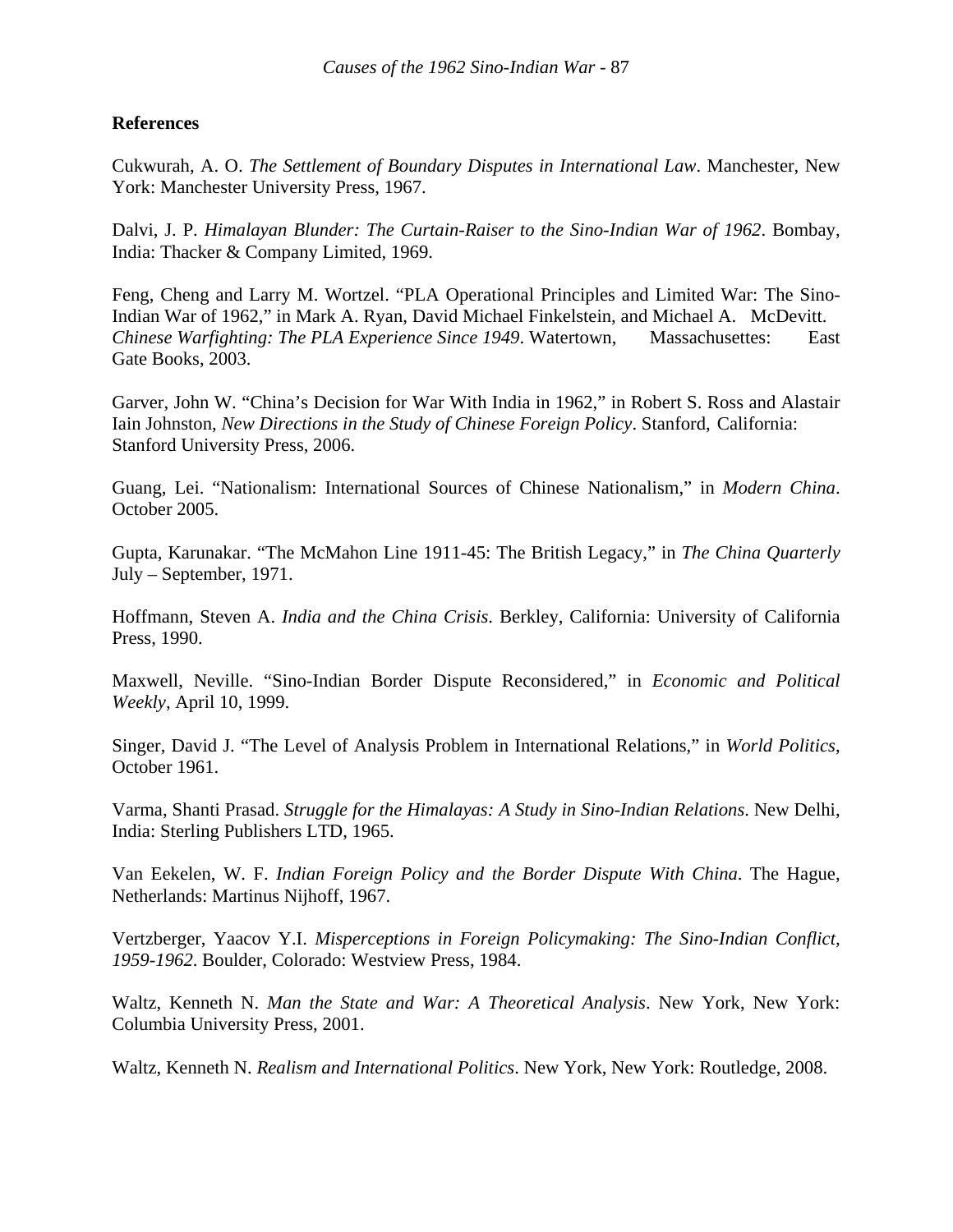### **References**

Cukwurah, A. O. *The Settlement of Boundary Disputes in International Law*. Manchester, New York: Manchester University Press, 1967.

Dalvi, J. P. *Himalayan Blunder: The Curtain-Raiser to the Sino-Indian War of 1962*. Bombay, India: Thacker & Company Limited, 1969.

Feng, Cheng and Larry M. Wortzel. "PLA Operational Principles and Limited War: The Sino-Indian War of 1962," in Mark A. Ryan, David Michael Finkelstein, and Michael A. McDevitt. *Chinese Warfighting: The PLA Experience Since 1949*. Watertown, Massachusettes: East Gate Books, 2003.

Garver, John W. "China's Decision for War With India in 1962," in Robert S. Ross and [Alastair](http://www.amazon.com/exec/obidos/search-handle-url/ref=ntt_athr_dp_sr_2?%5Fencoding=UTF8&search-type=ss&index=books&field-author=Alastair%20Iain%20Johnston)  [Iain Johnston](http://www.amazon.com/exec/obidos/search-handle-url/ref=ntt_athr_dp_sr_2?%5Fencoding=UTF8&search-type=ss&index=books&field-author=Alastair%20Iain%20Johnston), *New Directions in the Study of Chinese Foreign Policy*. Stanford, California: Stanford University Press, 2006.

Guang, Lei. "Nationalism: International Sources of Chinese Nationalism," in *Modern China*. October 2005.

Gupta, Karunakar. "The McMahon Line 1911-45: The British Legacy," in *The China Quarterly* July – September, 1971.

Hoffmann, Steven A. *India and the China Crisis*. Berkley, California: University of California Press, 1990.

Maxwell, Neville. "Sino-Indian Border Dispute Reconsidered," in *Economic and Political Weekly*, April 10, 1999.

Singer, David J. "The Level of Analysis Problem in International Relations," in *World Politics*, October 1961.

Varma, Shanti Prasad. *Struggle for the Himalayas: A Study in Sino-Indian Relations*. New Delhi, India: Sterling Publishers LTD, 1965.

Van Eekelen, W. F. *Indian Foreign Policy and the Border Dispute With China*. The Hague, Netherlands: Martinus Nijhoff, 1967.

Vertzberger, Yaacov Y.I. *Misperceptions in Foreign Policymaking: The Sino-Indian Conflict, 1959-1962*. Boulder, Colorado: Westview Press, 1984.

Waltz, Kenneth N. *Man the State and War: A Theoretical Analysis*. New York, New York: Columbia University Press, 2001.

Waltz, Kenneth N. *Realism and International Politics*. New York, New York: Routledge, 2008.